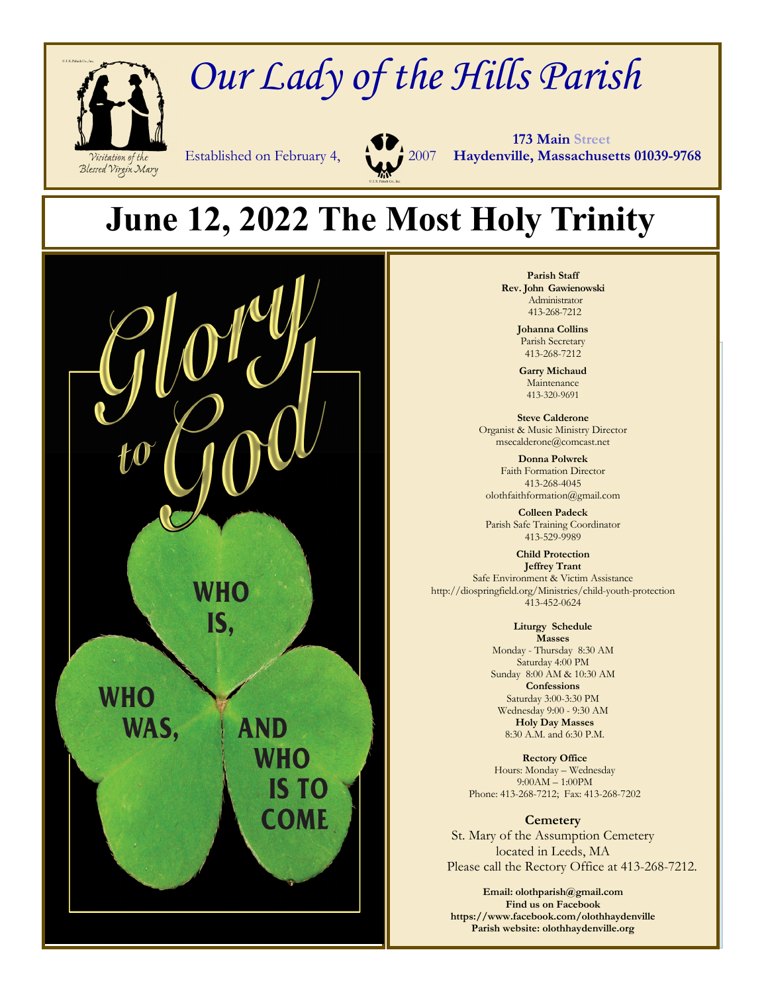

## *Our Lady of the Hills Parish*

 **173 Main Street** Established on February 4, 2007 **Haydenville, Massachusetts 01039-9768**

## **June 12, 2022 The Most Holy Trinity**



**Parish Staff Rev. John Gawienowski** Administrator 413-268-7212

> **Johanna Collins**  Parish Secretary 413-268-7212

**Garry Michaud**  Maintenance 413-320-9691

**Steve Calderone**  Organist & Music Ministry Director msecalderone@comcast.net

**Donna Polwrek**  Faith Formation Director 413-268-4045 olothfaithformation@gmail.com

**Colleen Padeck**  Parish Safe Training Coordinator 413-529-9989

**Child Protection Jeffrey Trant**  Safe Environment & Victim Assistance http://diospringfield.org/Ministries/child-youth-protection 413-452-0624

> **Liturgy Schedule Masses**  Monday - Thursday 8:30 AM Saturday 4:00 PM Sunday 8:00 AM & 10:30 AM **Confessions**  Saturday 3:00-3:30 PM Wednesday 9:00 - 9:30 AM **Holy Day Masses**  8:30 A.M. and 6:30 P.M.

**Rectory Office**  Hours: Monday – Wednesday 9:00AM – 1:00PM Phone: 413-268-7212; Fax: 413-268-7202

**Cemetery**  St. Mary of the Assumption Cemetery located in Leeds, MA Please call the Rectory Office at 413-268-7212.

**Email: olothparish@gmail.com Find us on Facebook https://www.facebook.com/olothhaydenville Parish website: olothhaydenville.org**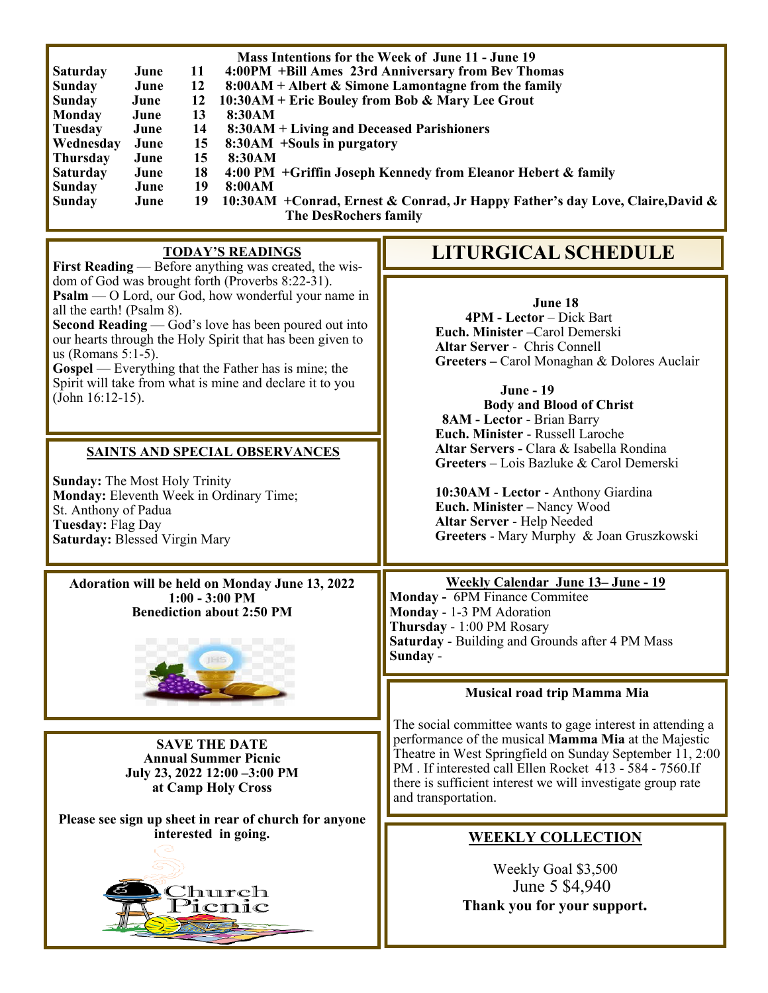| Mass Intentions for the Week of June 11 - June 19<br>4:00PM +Bill Ames 23rd Anniversary from Bev Thomas<br>June<br>11<br><b>Saturday</b><br><b>Sunday</b><br>June<br>12<br>8:00AM + Albert & Simone Lamontagne from the family<br>10:30AM + Eric Bouley from Bob & Mary Lee Grout<br><b>Sunday</b><br>June<br>12<br><b>Monday</b><br>13<br>June<br>8:30AM<br>14<br><b>Tuesday</b><br>June<br>8:30AM + Living and Deceased Parishioners<br>Wednesday<br>15<br>June<br>8:30AM +Souls in purgatory<br>Thursday<br>June<br>15<br>8:30AM<br>18<br><b>Saturday</b><br>4:00 PM +Griffin Joseph Kennedy from Eleanor Hebert & family<br>June<br><b>Sunday</b><br>June<br>19<br>8:00AM<br>19<br>10:30AM + Conrad, Ernest & Conrad, Jr Happy Father's day Love, Claire, David &<br>Sunday<br>June<br><b>The DesRochers family</b> |                                                                                                                                                                                                                                                                                                                                                                                                                                                                                                                                |
|-------------------------------------------------------------------------------------------------------------------------------------------------------------------------------------------------------------------------------------------------------------------------------------------------------------------------------------------------------------------------------------------------------------------------------------------------------------------------------------------------------------------------------------------------------------------------------------------------------------------------------------------------------------------------------------------------------------------------------------------------------------------------------------------------------------------------|--------------------------------------------------------------------------------------------------------------------------------------------------------------------------------------------------------------------------------------------------------------------------------------------------------------------------------------------------------------------------------------------------------------------------------------------------------------------------------------------------------------------------------|
| <b>TODAY'S READINGS</b><br>First Reading — Before anything was created, the wis-                                                                                                                                                                                                                                                                                                                                                                                                                                                                                                                                                                                                                                                                                                                                        | <b>LITURGICAL SCHEDULE</b>                                                                                                                                                                                                                                                                                                                                                                                                                                                                                                     |
| dom of God was brought forth (Proverbs 8:22-31).<br>Psalm — O Lord, our God, how wonderful your name in<br>all the earth! (Psalm 8).<br>Second Reading — God's love has been poured out into<br>our hearts through the Holy Spirit that has been given to<br>us (Romans $5:1-5$ ).<br>Gospel — Everything that the Father has is mine; the<br>Spirit will take from what is mine and declare it to you<br>(John 16:12-15).<br><b>SAINTS AND SPECIAL OBSERVANCES</b><br><b>Sunday:</b> The Most Holy Trinity<br>Monday: Eleventh Week in Ordinary Time;<br>St. Anthony of Padua<br>Tuesday: Flag Day<br>Saturday: Blessed Virgin Mary                                                                                                                                                                                    | June 18<br>4PM - Lector - Dick Bart<br>Euch. Minister - Carol Demerski<br><b>Altar Server - Chris Connell</b><br>Greeters - Carol Monaghan & Dolores Auclair<br><b>June - 19</b><br><b>Body and Blood of Christ</b><br>8AM - Lector - Brian Barry<br>Euch. Minister - Russell Laroche<br>Altar Servers - Clara & Isabella Rondina<br>Greeters – Lois Bazluke & Carol Demerski<br>10:30AM - Lector - Anthony Giardina<br>Euch. Minister - Nancy Wood<br>Altar Server - Help Needed<br>Greeters - Mary Murphy & Joan Gruszkowski |
| Adoration will be held on Monday June 13, 2022<br>$1:00 - 3:00 \text{ PM}$<br><b>Benediction about 2:50 PM</b>                                                                                                                                                                                                                                                                                                                                                                                                                                                                                                                                                                                                                                                                                                          | <b>Weekly Calendar June 13-June - 19</b><br>Monday - 6PM Finance Commitee<br>Monday - 1-3 PM Adoration<br>Thursday - 1:00 PM Rosary<br>Saturday - Building and Grounds after 4 PM Mass<br>Sunday -                                                                                                                                                                                                                                                                                                                             |
|                                                                                                                                                                                                                                                                                                                                                                                                                                                                                                                                                                                                                                                                                                                                                                                                                         | Musical road trip Mamma Mia                                                                                                                                                                                                                                                                                                                                                                                                                                                                                                    |
| <b>SAVE THE DATE</b><br><b>Annual Summer Picnic</b><br>July 23, 2022 12:00 -3:00 PM<br>at Camp Holy Cross                                                                                                                                                                                                                                                                                                                                                                                                                                                                                                                                                                                                                                                                                                               | The social committee wants to gage interest in attending a<br>performance of the musical Mamma Mia at the Majestic<br>Theatre in West Springfield on Sunday September 11, 2:00<br>PM. If interested call Ellen Rocket 413 - 584 - 7560. If<br>there is sufficient interest we will investigate group rate<br>and transportation.                                                                                                                                                                                               |
| Please see sign up sheet in rear of church for anyone<br>interested in going.<br>'hurch<br>cnic                                                                                                                                                                                                                                                                                                                                                                                                                                                                                                                                                                                                                                                                                                                         | <b>WEEKLY COLLECTION</b><br>Weekly Goal \$3,500<br>June 5 \$4,940<br>Thank you for your support.                                                                                                                                                                                                                                                                                                                                                                                                                               |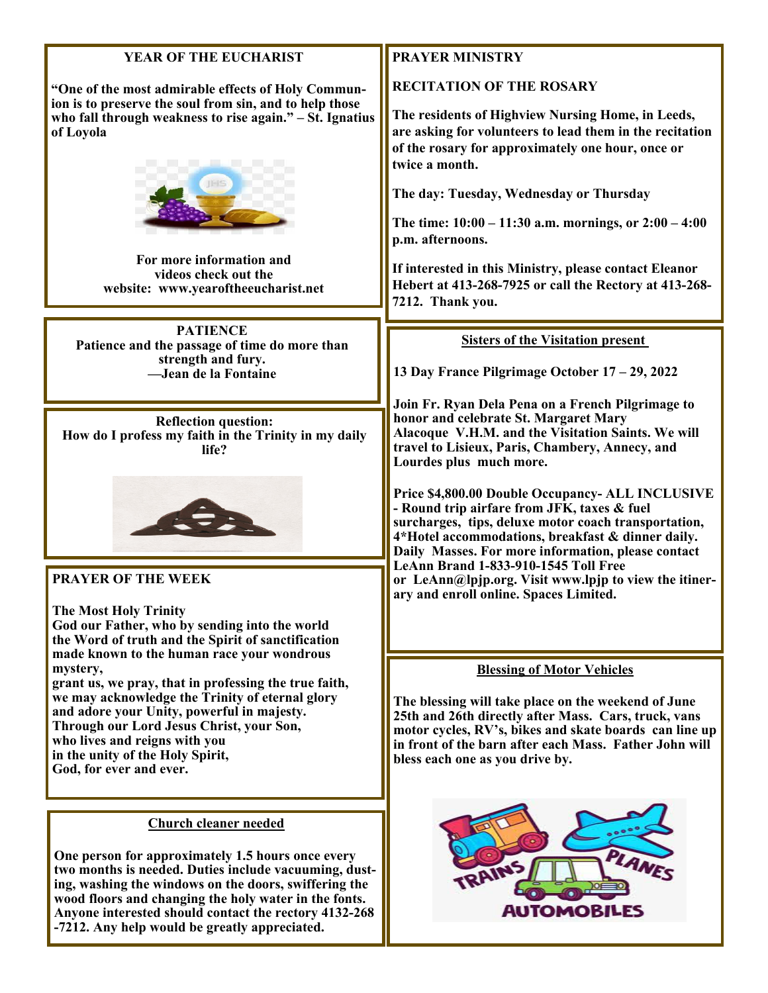| YEAR OF THE EUCHARIST                                                                                                                                                                                                                                                                              | <b>PRAYER MINISTRY</b>                                                                                                                                                                                                                                                                                                                              |
|----------------------------------------------------------------------------------------------------------------------------------------------------------------------------------------------------------------------------------------------------------------------------------------------------|-----------------------------------------------------------------------------------------------------------------------------------------------------------------------------------------------------------------------------------------------------------------------------------------------------------------------------------------------------|
| "One of the most admirable effects of Holy Commun-<br>ion is to preserve the soul from sin, and to help those<br>who fall through weakness to rise again." - St. Ignatius<br>of Loyola                                                                                                             | <b>RECITATION OF THE ROSARY</b><br>The residents of Highview Nursing Home, in Leeds,<br>are asking for volunteers to lead them in the recitation<br>of the rosary for approximately one hour, once or<br>twice a month.<br>The day: Tuesday, Wednesday or Thursday<br>The time: $10:00 - 11:30$ a.m. mornings, or $2:00 - 4:00$<br>p.m. afternoons. |
| For more information and<br>videos check out the<br>website: www.yearoftheeucharist.net                                                                                                                                                                                                            | If interested in this Ministry, please contact Eleanor<br>Hebert at 413-268-7925 or call the Rectory at 413-268-<br>7212. Thank you.                                                                                                                                                                                                                |
| <b>PATIENCE</b>                                                                                                                                                                                                                                                                                    |                                                                                                                                                                                                                                                                                                                                                     |
| Patience and the passage of time do more than                                                                                                                                                                                                                                                      | <b>Sisters of the Visitation present</b>                                                                                                                                                                                                                                                                                                            |
| strength and fury.<br>-Jean de la Fontaine                                                                                                                                                                                                                                                         | 13 Day France Pilgrimage October 17 – 29, 2022                                                                                                                                                                                                                                                                                                      |
|                                                                                                                                                                                                                                                                                                    |                                                                                                                                                                                                                                                                                                                                                     |
| <b>Reflection question:</b><br>How do I profess my faith in the Trinity in my daily<br>life?                                                                                                                                                                                                       | Join Fr. Ryan Dela Pena on a French Pilgrimage to<br>honor and celebrate St. Margaret Mary<br>Alacoque V.H.M. and the Visitation Saints. We will<br>travel to Lisieux, Paris, Chambery, Annecy, and<br>Lourdes plus much more.                                                                                                                      |
|                                                                                                                                                                                                                                                                                                    | Price \$4,800.00 Double Occupancy- ALL INCLUSIVE<br>- Round trip airfare from JFK, taxes & fuel<br>surcharges, tips, deluxe motor coach transportation,<br>4*Hotel accommodations, breakfast & dinner daily.<br>Daily Masses. For more information, please contact<br>LeAnn Brand 1-833-910-1545 Toll Free                                          |
| <b>PRAYER OF THE WEEK</b>                                                                                                                                                                                                                                                                          | or LeAnn@lpjp.org. Visit www.lpjp to view the itiner-<br>ary and enroll online. Spaces Limited.                                                                                                                                                                                                                                                     |
| <b>The Most Holy Trinity</b><br>God our Father, who by sending into the world                                                                                                                                                                                                                      |                                                                                                                                                                                                                                                                                                                                                     |
| the Word of truth and the Spirit of sanctification                                                                                                                                                                                                                                                 |                                                                                                                                                                                                                                                                                                                                                     |
| made known to the human race your wondrous<br>mystery,                                                                                                                                                                                                                                             |                                                                                                                                                                                                                                                                                                                                                     |
| grant us, we pray, that in professing the true faith,<br>we may acknowledge the Trinity of eternal glory<br>and adore your Unity, powerful in majesty.<br>Through our Lord Jesus Christ, your Son,<br>who lives and reigns with you<br>in the unity of the Holy Spirit,<br>God, for ever and ever. | <b>Blessing of Motor Vehicles</b><br>The blessing will take place on the weekend of June<br>25th and 26th directly after Mass. Cars, truck, vans<br>motor cycles, RV's, bikes and skate boards can line up<br>in front of the barn after each Mass. Father John will<br>bless each one as you drive by.                                             |
|                                                                                                                                                                                                                                                                                                    |                                                                                                                                                                                                                                                                                                                                                     |

AN

F.

TRAIN

¥

**AUTOMOBILES** 

## **Church cleaner needed**

**One person for approximately 1.5 hours once every two months is needed. Duties include vacuuming, dusting, washing the windows on the doors, swiffering the wood floors and changing the holy water in the fonts. Anyone interested should contact the rectory 4132-268 -7212. Any help would be greatly appreciated.**